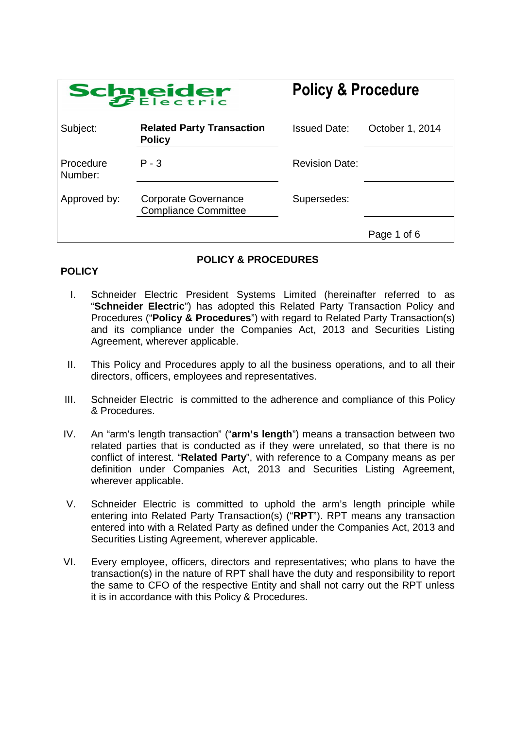| Schneider            |                                                            | <b>Policy &amp; Procedure</b> |                 |
|----------------------|------------------------------------------------------------|-------------------------------|-----------------|
| Subject:             | <b>Related Party Transaction</b><br><b>Policy</b>          | <b>Issued Date:</b>           | October 1, 2014 |
| Procedure<br>Number: | $P - 3$                                                    | <b>Revision Date:</b>         |                 |
| Approved by:         | <b>Corporate Governance</b><br><b>Compliance Committee</b> | Supersedes:                   |                 |
|                      |                                                            |                               | Page 1 of 6     |

# **POLICY**

# **POLICY & PROCEDURES**

- I. Schneider Electric President Systems Limited (hereinafter referred to as "**Schneider Electric**") has adopted this Related Party Transaction Policy and Procedures ("**Policy & Procedures**") with regard to Related Party Transaction(s) and its compliance under the Companies Act, 2013 and Securities Listing Agreement, wherever applicable.
- II. This Policy and Procedures apply to all the business operations, and to all their directors, officers, employees and representatives.
- III. Schneider Electric is committed to the adherence and compliance of this Policy & Procedures.
- IV. An "arm's length transaction" ("**arm's length**") means a transaction between two related parties that is conducted as if they were unrelated, so that there is no conflict of interest. "**Related Party**", with reference to a Company means as per definition under Companies Act, 2013 and Securities Listing Agreement, wherever applicable.
- V. Schneider Electric is committed to uphold the arm's length principle while entering into Related Party Transaction(s) ("**RPT**"). RPT means any transaction entered into with a Related Party as defined under the Companies Act, 2013 and Securities Listing Agreement, wherever applicable.
- VI. Every employee, officers, directors and representatives; who plans to have the transaction(s) in the nature of RPT shall have the duty and responsibility to report the same to CFO of the respective Entity and shall not carry out the RPT unless it is in accordance with this Policy & Procedures.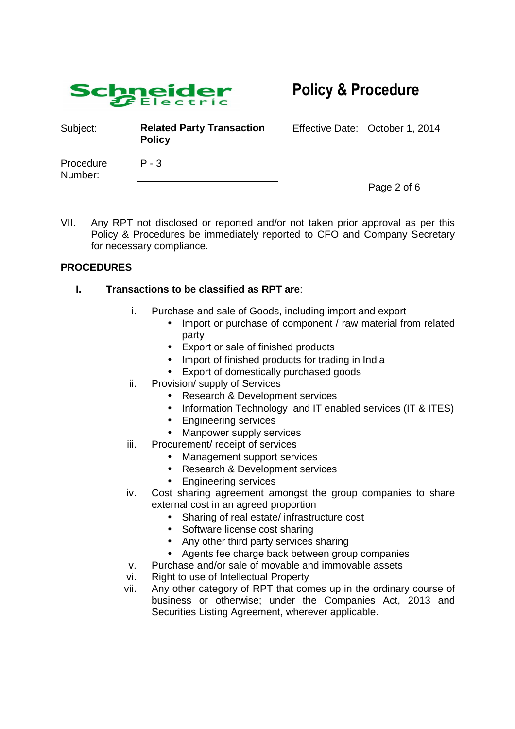| Schneider            |                                                   | <b>Policy &amp; Procedure</b> |                                 |
|----------------------|---------------------------------------------------|-------------------------------|---------------------------------|
| Subject:             | <b>Related Party Transaction</b><br><b>Policy</b> |                               | Effective Date: October 1, 2014 |
| Procedure<br>Number: | $P - 3$                                           |                               |                                 |
|                      |                                                   |                               | Page 2 of 6                     |

VII. Any RPT not disclosed or reported and/or not taken prior approval as per this Policy & Procedures be immediately reported to CFO and Company Secretary for necessary compliance.

# **PROCEDURES**

### **I. Transactions to be classified as RPT are**:

- i. Purchase and sale of Goods, including import and export
	- Import or purchase of component / raw material from related party
	- Export or sale of finished products
	- Import of finished products for trading in India
	- Export of domestically purchased goods
- ii. Provision/ supply of Services
	- Research & Development services
	- Information Technology and IT enabled services (IT & ITES)
	- Engineering services
	- Manpower supply services
- iii. Procurement/ receipt of services
	- Management support services
	- Research & Development services
	- Engineering services
- iv. Cost sharing agreement amongst the group companies to share external cost in an agreed proportion
	- Sharing of real estate/ infrastructure cost
	- Software license cost sharing
	- Any other third party services sharing
	- Agents fee charge back between group companies
- v. Purchase and/or sale of movable and immovable assets
- vi. Right to use of Intellectual Property
- vii. Any other category of RPT that comes up in the ordinary course of business or otherwise; under the Companies Act, 2013 and Securities Listing Agreement, wherever applicable.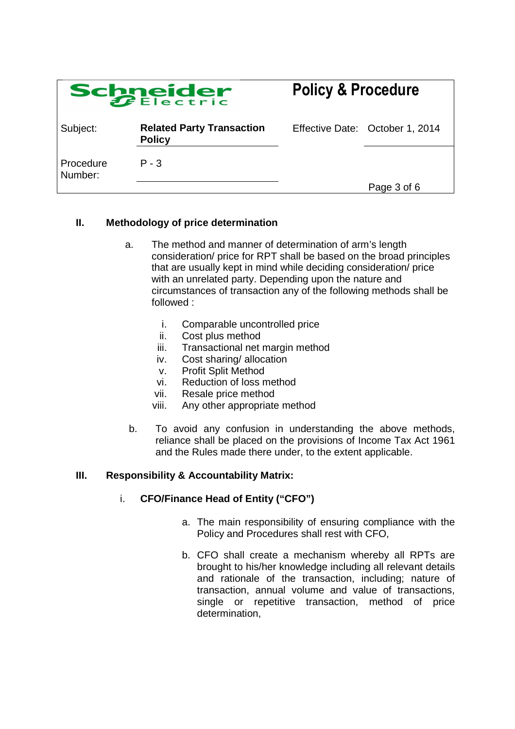| Schneider            |                                                   | <b>Policy &amp; Procedure</b> |                                 |
|----------------------|---------------------------------------------------|-------------------------------|---------------------------------|
| Subject:             | <b>Related Party Transaction</b><br><b>Policy</b> |                               | Effective Date: October 1, 2014 |
| Procedure<br>Number: | P - 3                                             |                               |                                 |
|                      |                                                   |                               | Page 3 of 6                     |

### **II. Methodology of price determination**

- a. The method and manner of determination of arm's length consideration/ price for RPT shall be based on the broad principles that are usually kept in mind while deciding consideration/ price with an unrelated party. Depending upon the nature and circumstances of transaction any of the following methods shall be followed :
	- i. Comparable uncontrolled price
	- ii. Cost plus method
	- iii. Transactional net margin method
	- iv. Cost sharing/ allocation
	- v. Profit Split Method
	- vi. Reduction of loss method
	- vii. Resale price method
	- viii. Any other appropriate method
- b. To avoid any confusion in understanding the above methods, reliance shall be placed on the provisions of Income Tax Act 1961 and the Rules made there under, to the extent applicable.

### **III. Responsibility & Accountability Matrix:**

- i. **CFO/Finance Head of Entity ("CFO")**
	- a. The main responsibility of ensuring compliance with the Policy and Procedures shall rest with CFO,
	- b. CFO shall create a mechanism whereby all RPTs are brought to his/her knowledge including all relevant details and rationale of the transaction, including; nature of transaction, annual volume and value of transactions, single or repetitive transaction, method of price determination,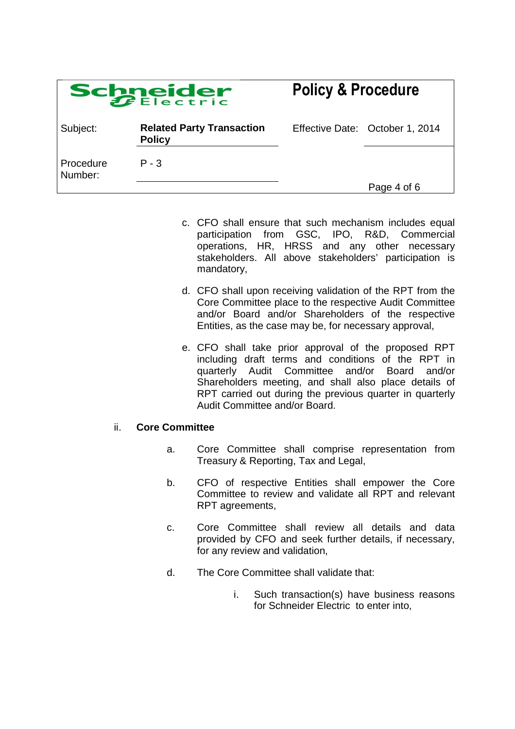| Schneider            |                                                   | <b>Policy &amp; Procedure</b>   |  |
|----------------------|---------------------------------------------------|---------------------------------|--|
| Subject:             | <b>Related Party Transaction</b><br><b>Policy</b> | Effective Date: October 1, 2014 |  |
| Procedure<br>Number: | $P - 3$                                           |                                 |  |
|                      |                                                   | Page 4 of 6                     |  |

- c. CFO shall ensure that such mechanism includes equal participation from GSC, IPO, R&D, Commercial participation from GSC, operations, HR, HRSS and any other necessary stakeholders. All above stakeholders' participation is mandatory,
- d. CFO shall upon receiving validation of the RPT from the Core Committee place to the respective Audit Committee and/or Board and/or Shareholders of the respective Entities, as the case may be, for necessary approval,
- e. CFO shall take prior approval of the proposed RPT including draft terms and conditions of the RPT in quarterly Audit Committee and/or Board and/or Shareholders meeting, and shall also place details of RPT carried out during the previous quarter in quarterly Audit Committee and/or Board.

#### ii. **Core Committee**

- a. Core Committee shall comprise representation from Treasury & Reporting, Tax and Legal,
- b. CFO of respective Entities shall empower the Core Committee to review and validate all RPT and relevant RPT agreements,
- c. Core Committee shall review all details and data provided by CFO and seek further details, if necessary, for any review and validation,
- d. The Core Committee shall validate that:
	- i. Such transaction(s) have business reasons for Schneider Electric to enter into,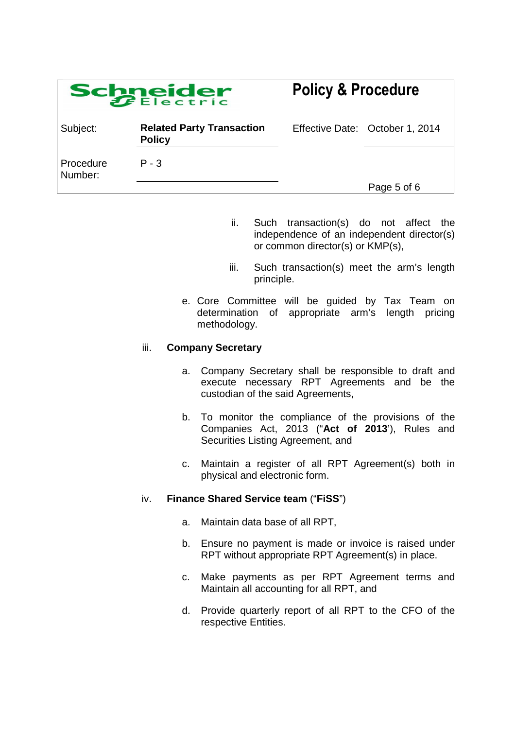| Schneider            |                                                   | <b>Policy &amp; Procedure</b> |                                 |
|----------------------|---------------------------------------------------|-------------------------------|---------------------------------|
| Subject:             | <b>Related Party Transaction</b><br><b>Policy</b> |                               | Effective Date: October 1, 2014 |
| Procedure<br>Number: | P - 3                                             |                               | Page 5 of 6                     |

- ii. Such transaction(s) do not affect the independence of an independent director(s) or common director(s) or KMP(s),
- iii. Such transaction(s) meet the arm's length principle.
- e. Core Committee will be guided by Tax Team on determination of appropriate arm's length pricing methodology.

#### iii. **Company Secretary**

- a. Company Secretary shall be responsible to draft and execute necessary RPT Agreements and be the custodian of the said Agreements,
- b. To monitor the compliance of the provisions of the Companies Act, 2013 ("**Act of 2013**'), Rules and Securities Listing Agreement, and
- c. Maintain a register of all RPT Agreement(s) both in physical and electronic form.

### iv. **Finance Shared Service team** ("**FiSS**")

- a. Maintain data base of all RPT,
- b. Ensure no payment is made or invoice is raised under RPT without appropriate RPT Agreement(s) in place.
- c. Make payments as per RPT Agreement terms and Maintain all accounting for all RPT, and
- d. Provide quarterly report of all RPT to the CFO of the respective Entities.